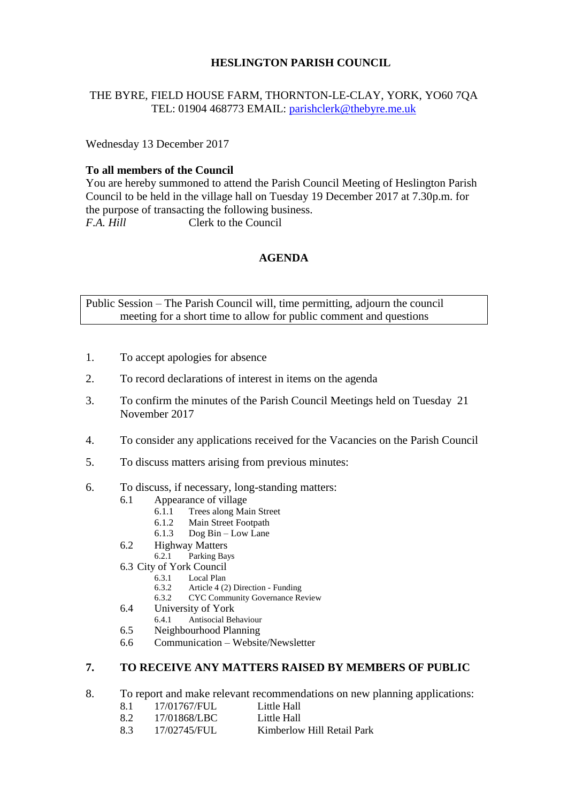### **HESLINGTON PARISH COUNCIL**

### THE BYRE, FIELD HOUSE FARM, THORNTON-LE-CLAY, YORK, YO60 7QA TEL: 01904 468773 EMAIL: [parishclerk@thebyre.me.uk](mailto:parishclerk@thebyre.me.uk)

Wednesday 13 December 2017

#### **To all members of the Council**

You are hereby summoned to attend the Parish Council Meeting of Heslington Parish Council to be held in the village hall on Tuesday 19 December 2017 at 7.30p.m. for the purpose of transacting the following business. *F.A. Hill* Clerk to the Council

#### **AGENDA**

Public Session – The Parish Council will, time permitting, adjourn the council meeting for a short time to allow for public comment and questions

- 1. To accept apologies for absence
- 2. To record declarations of interest in items on the agenda
- 3. To confirm the minutes of the Parish Council Meetings held on Tuesday 21 November 2017
- 4. To consider any applications received for the Vacancies on the Parish Council
- 5. To discuss matters arising from previous minutes:
- 6. To discuss, if necessary, long-standing matters:
	- 6.1 Appearance of village
		- 6.1.1 Trees along Main Street
		- 6.1.2 Main Street Footpath
		- 6.1.3 Dog Bin Low Lane
	- 6.2 Highway Matters<br>6.2.1 Parking Bay
		- Parking Bays
	- 6.3 City of York Council
		- Local Plan
			- 6.3.2 Article 4 (2) Direction Funding
		- 6.3.2 CYC Community Governance Review
	- 6.4 University of York
		- 6.4.1 Antisocial Behaviour
	- 6.5 Neighbourhood Planning
	- 6.6 Communication Website/Newsletter

## **7. TO RECEIVE ANY MATTERS RAISED BY MEMBERS OF PUBLIC**

- 8. To report and make relevant recommendations on new planning applications:
	- 8.1 17/01767/FUL Little Hall
	- 8.2 17/01868/LBC Little Hall
	- 8.3 17/02745/FUL Kimberlow Hill Retail Park